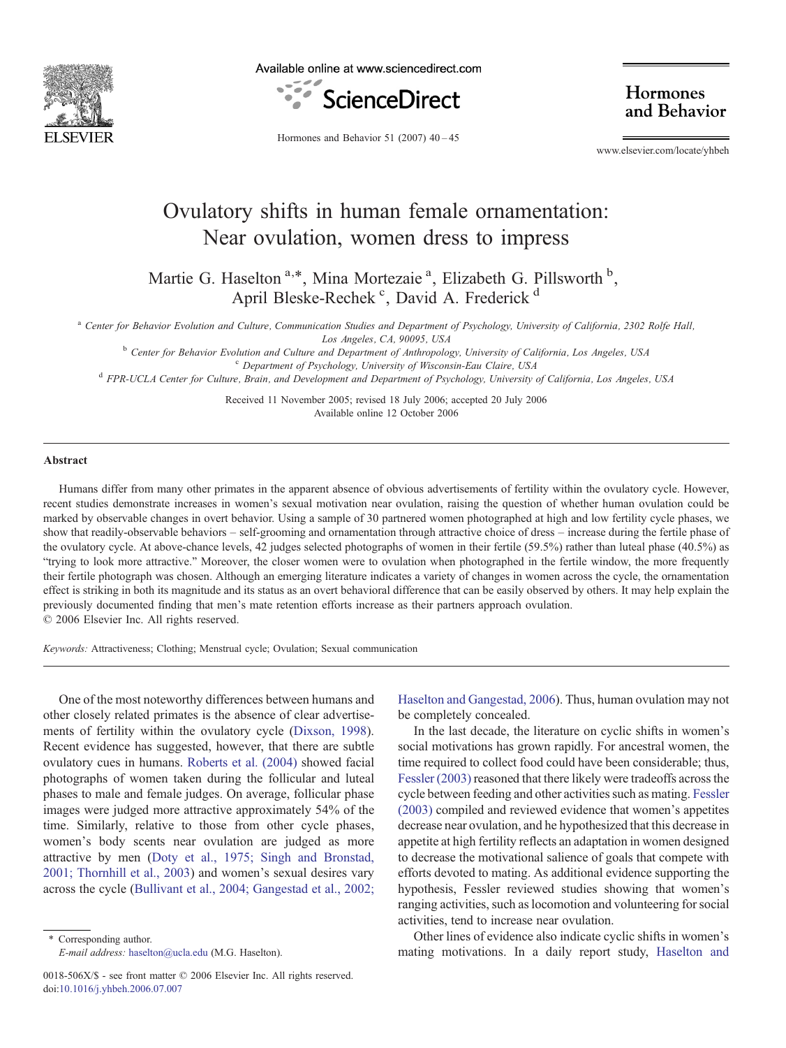

Available online at www.sciencedirect.com



Hormones and Behavior

Hormones and Behavior 51 (2007)  $40-45$ 

www.elsevier.com/locate/yhbeh

# Ovulatory shifts in human female ornamentation: Near ovulation, women dress to impress

Martie G. Haselton<sup>a,\*</sup>, Mina Mortezaie<sup>a</sup>, Elizabeth G. Pillsworth<sup>b</sup>, April Bleske-Rechek<sup>c</sup>, David A. Frederick<sup>d</sup>

<sup>a</sup> Center for Behavior Evolution and Culture, Communication Studies and Department of Psychology, University of California, 2302 Rolfe Hall,

Los Angeles, CA, 90095, USA<br><sup>b</sup> Center for Behavior Evolution and Culture and Department of Anthropology, University of California, Los Angeles, USA <sup>c</sup> Department of Psychology, University of Wisconsin-Eau Claire, USA<br><sup>d</sup> FPR-UCLA Center for Culture, Brain, and Development and Department of Psychology, University of California, Los Angeles, USA

Received 11 November 2005; revised 18 July 2006; accepted 20 July 2006 Available online 12 October 2006

# Abstract

Humans differ from many other primates in the apparent absence of obvious advertisements of fertility within the ovulatory cycle. However, recent studies demonstrate increases in women's sexual motivation near ovulation, raising the question of whether human ovulation could be marked by observable changes in overt behavior. Using a sample of 30 partnered women photographed at high and low fertility cycle phases, we show that readily-observable behaviors – self-grooming and ornamentation through attractive choice of dress – increase during the fertile phase of the ovulatory cycle. At above-chance levels, 42 judges selected photographs of women in their fertile (59.5%) rather than luteal phase (40.5%) as "trying to look more attractive." Moreover, the closer women were to ovulation when photographed in the fertile window, the more frequently their fertile photograph was chosen. Although an emerging literature indicates a variety of changes in women across the cycle, the ornamentation effect is striking in both its magnitude and its status as an overt behavioral difference that can be easily observed by others. It may help explain the previously documented finding that men's mate retention efforts increase as their partners approach ovulation. © 2006 Elsevier Inc. All rights reserved.

Keywords: Attractiveness; Clothing; Menstrual cycle; Ovulation; Sexual communication

One of the most noteworthy differences between humans and other closely related primates is the absence of clear advertisements of fertility within the ovulatory cycle ([Dixson, 1998](#page-5-0)). Recent evidence has suggested, however, that there are subtle ovulatory cues in humans. [Roberts et al. \(2004\)](#page-5-0) showed facial photographs of women taken during the follicular and luteal phases to male and female judges. On average, follicular phase images were judged more attractive approximately 54% of the time. Similarly, relative to those from other cycle phases, women's body scents near ovulation are judged as more attractive by men [\(Doty et al., 1975; Singh and Bronstad,](#page-5-0) [2001; Thornhill et al., 2003](#page-5-0)) and women's sexual desires vary across the cycle ([Bullivant et al., 2004; Gangestad et al., 2002;](#page-5-0)

⁎ Corresponding author. E-mail address: [haselton@ucla.edu](mailto:haselton@ucla.edu) (M.G. Haselton). [Haselton and Gangestad, 2006](#page-5-0)). Thus, human ovulation may not be completely concealed.

In the last decade, the literature on cyclic shifts in women's social motivations has grown rapidly. For ancestral women, the time required to collect food could have been considerable; thus, [Fessler \(2003\)](#page-5-0) reasoned that there likely were tradeoffs across the cycle between feeding and other activities such as mating. [Fessler](#page-5-0) [\(2003\)](#page-5-0) compiled and reviewed evidence that women's appetites decrease near ovulation, and he hypothesized that this decrease in appetite at high fertility reflects an adaptation in women designed to decrease the motivational salience of goals that compete with efforts devoted to mating. As additional evidence supporting the hypothesis, Fessler reviewed studies showing that women's ranging activities, such as locomotion and volunteering for social activities, tend to increase near ovulation.

Other lines of evidence also indicate cyclic shifts in women's mating motivations. In a daily report study, [Haselton and](#page-5-0)

<sup>0018-506</sup>X/\$ - see front matter © 2006 Elsevier Inc. All rights reserved. doi:[10.1016/j.yhbeh.2006.07.007](http://dx.doi.org/10.1016/j.yhbeh.2006.07.007)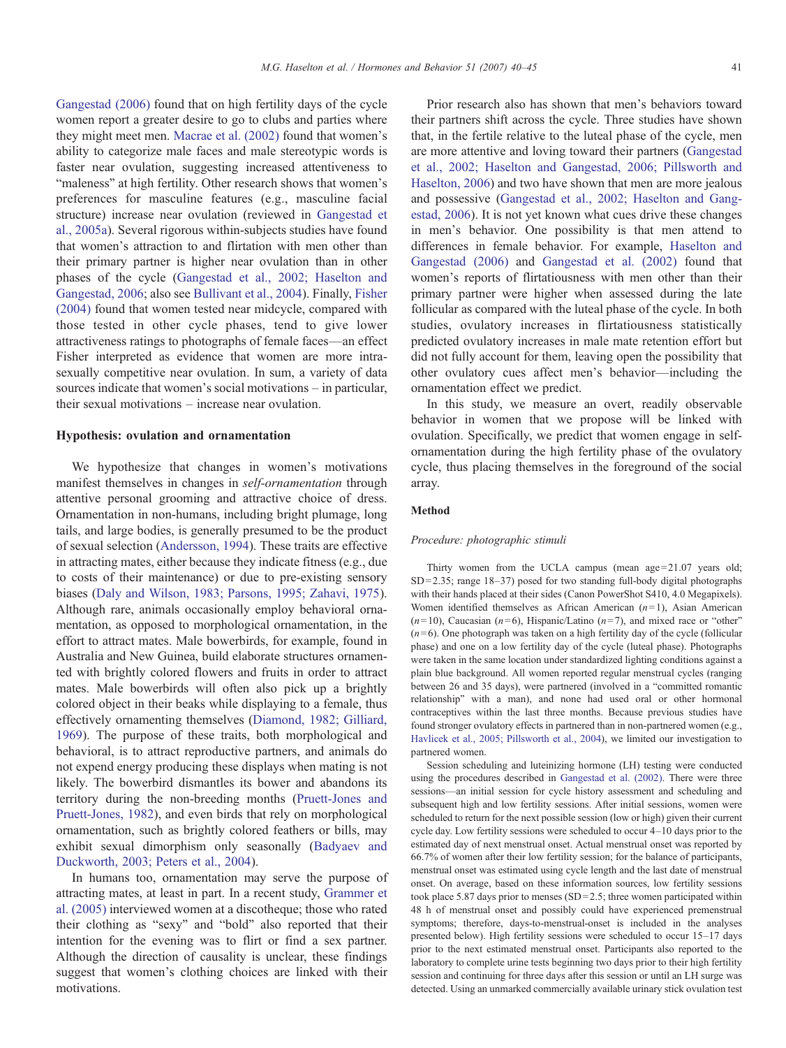[Gangestad \(2006\)](#page-5-0) found that on high fertility days of the cycle women report a greater desire to go to clubs and parties where they might meet men. [Macrae et al. \(2002\)](#page-5-0) found that women's ability to categorize male faces and male stereotypic words is faster near ovulation, suggesting increased attentiveness to "maleness" at high fertility. Other research shows that women's preferences for masculine features (e.g., masculine facial structure) increase near ovulation (reviewed in [Gangestad et](#page-5-0) [al., 2005a](#page-5-0)). Several rigorous within-subjects studies have found that women's attraction to and flirtation with men other than their primary partner is higher near ovulation than in other phases of the cycle [\(Gangestad et al., 2002; Haselton and](#page-5-0) [Gangestad, 2006;](#page-5-0) also see [Bullivant et al., 2004](#page-5-0)). Finally, [Fisher](#page-5-0) [\(2004\)](#page-5-0) found that women tested near midcycle, compared with those tested in other cycle phases, tend to give lower attractiveness ratings to photographs of female faces—an effect Fisher interpreted as evidence that women are more intrasexually competitive near ovulation. In sum, a variety of data sources indicate that women's social motivations – in particular, their sexual motivations – increase near ovulation.

# Hypothesis: ovulation and ornamentation

We hypothesize that changes in women's motivations manifest themselves in changes in self-ornamentation through attentive personal grooming and attractive choice of dress. Ornamentation in non-humans, including bright plumage, long tails, and large bodies, is generally presumed to be the product of sexual selection ([Andersson, 1994\)](#page-5-0). These traits are effective in attracting mates, either because they indicate fitness (e.g., due to costs of their maintenance) or due to pre-existing sensory biases ([Daly and Wilson, 1983; Parsons, 1995; Zahavi, 1975\)](#page-5-0). Although rare, animals occasionally employ behavioral ornamentation, as opposed to morphological ornamentation, in the effort to attract mates. Male bowerbirds, for example, found in Australia and New Guinea, build elaborate structures ornamented with brightly colored flowers and fruits in order to attract mates. Male bowerbirds will often also pick up a brightly colored object in their beaks while displaying to a female, thus effectively ornamenting themselves ([Diamond, 1982; Gilliard,](#page-5-0) [1969](#page-5-0)). The purpose of these traits, both morphological and behavioral, is to attract reproductive partners, and animals do not expend energy producing these displays when mating is not likely. The bowerbird dismantles its bower and abandons its territory during the non-breeding months ([Pruett-Jones and](#page-5-0) [Pruett-Jones, 1982\)](#page-5-0), and even birds that rely on morphological ornamentation, such as brightly colored feathers or bills, may exhibit sexual dimorphism only seasonally ([Badyaev and](#page-5-0) [Duckworth, 2003; Peters et al., 2004](#page-5-0)).

In humans too, ornamentation may serve the purpose of attracting mates, at least in part. In a recent study, [Grammer et](#page-5-0) [al. \(2005\)](#page-5-0) interviewed women at a discotheque; those who rated their clothing as "sexy" and "bold" also reported that their intention for the evening was to flirt or find a sex partner. Although the direction of causality is unclear, these findings suggest that women's clothing choices are linked with their motivations.

Prior research also has shown that men's behaviors toward their partners shift across the cycle. Three studies have shown that, in the fertile relative to the luteal phase of the cycle, men are more attentive and loving toward their partners ([Gangestad](#page-5-0) [et al., 2002; Haselton and Gangestad, 2006; Pillsworth and](#page-5-0) [Haselton, 2006\)](#page-5-0) and two have shown that men are more jealous and possessive [\(Gangestad et al., 2002; Haselton and Gang](#page-5-0)[estad, 2006\)](#page-5-0). It is not yet known what cues drive these changes in men's behavior. One possibility is that men attend to differences in female behavior. For example, [Haselton and](#page-5-0) [Gangestad \(2006\)](#page-5-0) and [Gangestad et al. \(2002\)](#page-5-0) found that women's reports of flirtatiousness with men other than their primary partner were higher when assessed during the late follicular as compared with the luteal phase of the cycle. In both studies, ovulatory increases in flirtatiousness statistically predicted ovulatory increases in male mate retention effort but did not fully account for them, leaving open the possibility that other ovulatory cues affect men's behavior—including the ornamentation effect we predict.

In this study, we measure an overt, readily observable behavior in women that we propose will be linked with ovulation. Specifically, we predict that women engage in selfornamentation during the high fertility phase of the ovulatory cycle, thus placing themselves in the foreground of the social array.

# Method

#### Procedure: photographic stimuli

Thirty women from the UCLA campus (mean  $age = 21.07$  years old; SD = 2.35; range 18–37) posed for two standing full-body digital photographs with their hands placed at their sides (Canon PowerShot S410, 4.0 Megapixels). Women identified themselves as African American  $(n=1)$ , Asian American  $(n=10)$ , Caucasian  $(n=6)$ , Hispanic/Latino  $(n=7)$ , and mixed race or "other"  $(n=6)$ . One photograph was taken on a high fertility day of the cycle (follicular phase) and one on a low fertility day of the cycle (luteal phase). Photographs were taken in the same location under standardized lighting conditions against a plain blue background. All women reported regular menstrual cycles (ranging between 26 and 35 days), were partnered (involved in a "committed romantic relationship" with a man), and none had used oral or other hormonal contraceptives within the last three months. Because previous studies have found stronger ovulatory effects in partnered than in non-partnered women (e.g., [Havlicek et al., 2005; Pillsworth et al., 2004\)](#page-5-0), we limited our investigation to partnered women.

Session scheduling and luteinizing hormone (LH) testing were conducted using the procedures described in [Gangestad et al. \(2002\).](#page-5-0) There were three sessions—an initial session for cycle history assessment and scheduling and subsequent high and low fertility sessions. After initial sessions, women were scheduled to return for the next possible session (low or high) given their current cycle day. Low fertility sessions were scheduled to occur 4–10 days prior to the estimated day of next menstrual onset. Actual menstrual onset was reported by 66.7% of women after their low fertility session; for the balance of participants, menstrual onset was estimated using cycle length and the last date of menstrual onset. On average, based on these information sources, low fertility sessions took place 5.87 days prior to menses (SD=2.5; three women participated within 48 h of menstrual onset and possibly could have experienced premenstrual symptoms; therefore, days-to-menstrual-onset is included in the analyses presented below). High fertility sessions were scheduled to occur 15–17 days prior to the next estimated menstrual onset. Participants also reported to the laboratory to complete urine tests beginning two days prior to their high fertility session and continuing for three days after this session or until an LH surge was detected. Using an unmarked commercially available urinary stick ovulation test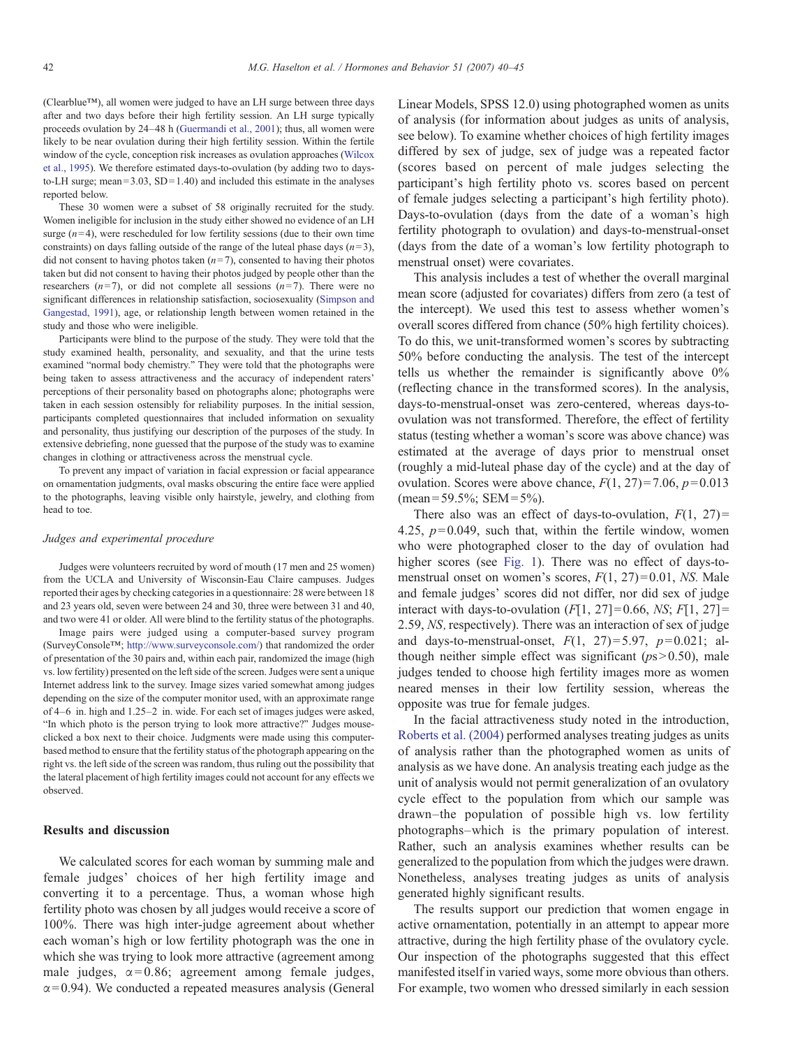(Clearblue™), all women were judged to have an LH surge between three days after and two days before their high fertility session. An LH surge typically proceeds ovulation by 24–48 h [\(Guermandi et al., 2001](#page-5-0)); thus, all women were likely to be near ovulation during their high fertility session. Within the fertile window of the cycle, conception risk increases as ovulation approaches ([Wilcox](#page-5-0) [et al., 1995](#page-5-0)). We therefore estimated days-to-ovulation (by adding two to daysto-LH surge; mean= $3.03$ , SD= $1.40$ ) and included this estimate in the analyses reported below.

These 30 women were a subset of 58 originally recruited for the study. Women ineligible for inclusion in the study either showed no evidence of an LH surge  $(n=4)$ , were rescheduled for low fertility sessions (due to their own time constraints) on days falling outside of the range of the luteal phase days  $(n=3)$ , did not consent to having photos taken  $(n=7)$ , consented to having their photos taken but did not consent to having their photos judged by people other than the researchers  $(n=7)$ , or did not complete all sessions  $(n=7)$ . There were no significant differences in relationship satisfaction, sociosexuality [\(Simpson and](#page-5-0) [Gangestad, 1991\)](#page-5-0), age, or relationship length between women retained in the study and those who were ineligible.

Participants were blind to the purpose of the study. They were told that the study examined health, personality, and sexuality, and that the urine tests examined "normal body chemistry." They were told that the photographs were being taken to assess attractiveness and the accuracy of independent raters' perceptions of their personality based on photographs alone; photographs were taken in each session ostensibly for reliability purposes. In the initial session, participants completed questionnaires that included information on sexuality and personality, thus justifying our description of the purposes of the study. In extensive debriefing, none guessed that the purpose of the study was to examine changes in clothing or attractiveness across the menstrual cycle.

To prevent any impact of variation in facial expression or facial appearance on ornamentation judgments, oval masks obscuring the entire face were applied to the photographs, leaving visible only hairstyle, jewelry, and clothing from head to toe.

#### Judges and experimental procedure

Judges were volunteers recruited by word of mouth (17 men and 25 women) from the UCLA and University of Wisconsin-Eau Claire campuses. Judges reported their ages by checking categories in a questionnaire: 28 were between 18 and 23 years old, seven were between 24 and 30, three were between 31 and 40, and two were 41 or older. All were blind to the fertility status of the photographs.

Image pairs were judged using a computer-based survey program (SurveyConsole™; <http://www.surveyconsole.com/>) that randomized the order of presentation of the 30 pairs and, within each pair, randomized the image (high vs. low fertility) presented on the left side of the screen. Judges were sent a unique Internet address link to the survey. Image sizes varied somewhat among judges depending on the size of the computer monitor used, with an approximate range of 4–6 in. high and 1.25–2 in. wide. For each set of images judges were asked, "In which photo is the person trying to look more attractive?" Judges mouseclicked a box next to their choice. Judgments were made using this computerbased method to ensure that the fertility status of the photograph appearing on the right vs. the left side of the screen was random, thus ruling out the possibility that the lateral placement of high fertility images could not account for any effects we observed.

# Results and discussion

We calculated scores for each woman by summing male and female judges' choices of her high fertility image and converting it to a percentage. Thus, a woman whose high fertility photo was chosen by all judges would receive a score of 100%. There was high inter-judge agreement about whether each woman's high or low fertility photograph was the one in which she was trying to look more attractive (agreement among male judges,  $\alpha = 0.86$ ; agreement among female judges,  $\alpha$ = 0.94). We conducted a repeated measures analysis (General Linear Models, SPSS 12.0) using photographed women as units of analysis (for information about judges as units of analysis, see below). To examine whether choices of high fertility images differed by sex of judge, sex of judge was a repeated factor (scores based on percent of male judges selecting the participant's high fertility photo vs. scores based on percent of female judges selecting a participant's high fertility photo). Days-to-ovulation (days from the date of a woman's high fertility photograph to ovulation) and days-to-menstrual-onset (days from the date of a woman's low fertility photograph to menstrual onset) were covariates.

This analysis includes a test of whether the overall marginal mean score (adjusted for covariates) differs from zero (a test of the intercept). We used this test to assess whether women's overall scores differed from chance (50% high fertility choices). To do this, we unit-transformed women's scores by subtracting 50% before conducting the analysis. The test of the intercept tells us whether the remainder is significantly above 0% (reflecting chance in the transformed scores). In the analysis, days-to-menstrual-onset was zero-centered, whereas days-toovulation was not transformed. Therefore, the effect of fertility status (testing whether a woman's score was above chance) was estimated at the average of days prior to menstrual onset (roughly a mid-luteal phase day of the cycle) and at the day of ovulation. Scores were above chance,  $F(1, 27) = 7.06$ ,  $p = 0.013$  $(mean = 59.5\%; SEM = 5\%).$ 

There also was an effect of days-to-ovulation,  $F(1, 27)$  = 4.25,  $p=0.049$ , such that, within the fertile window, women who were photographed closer to the day of ovulation had higher scores (see [Fig. 1](#page-3-0)). There was no effect of days-tomenstrual onset on women's scores,  $F(1, 27) = 0.01$ , NS. Male and female judges' scores did not differ, nor did sex of judge interact with days-to-ovulation  $(F[1, 27] = 0.66, NS; F[1, 27] =$ 2.59, NS, respectively). There was an interaction of sex of judge and days-to-menstrual-onset,  $F(1, 27) = 5.97$ ,  $p=0.021$ ; although neither simple effect was significant  $(ps > 0.50)$ , male judges tended to choose high fertility images more as women neared menses in their low fertility session, whereas the opposite was true for female judges.

In the facial attractiveness study noted in the introduction, [Roberts et al. \(2004\)](#page-5-0) performed analyses treating judges as units of analysis rather than the photographed women as units of analysis as we have done. An analysis treating each judge as the unit of analysis would not permit generalization of an ovulatory cycle effect to the population from which our sample was drawn–the population of possible high vs. low fertility photographs–which is the primary population of interest. Rather, such an analysis examines whether results can be generalized to the population from which the judges were drawn. Nonetheless, analyses treating judges as units of analysis generated highly significant results.

The results support our prediction that women engage in active ornamentation, potentially in an attempt to appear more attractive, during the high fertility phase of the ovulatory cycle. Our inspection of the photographs suggested that this effect manifested itself in varied ways, some more obvious than others. For example, two women who dressed similarly in each session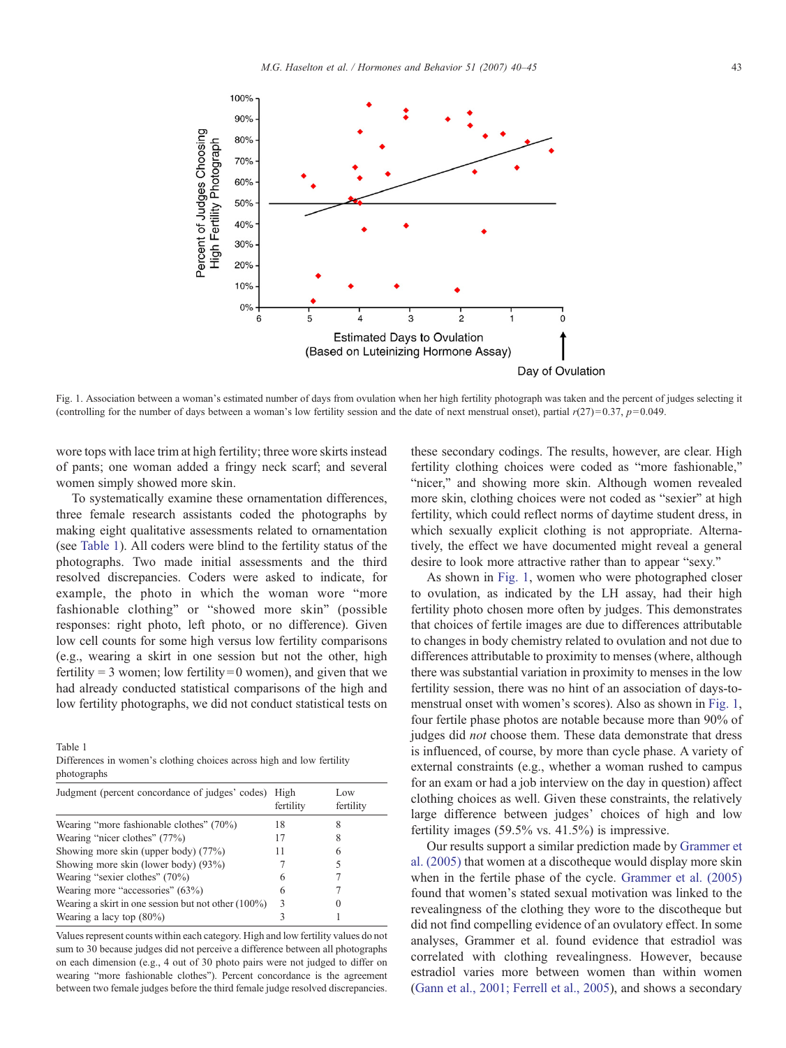<span id="page-3-0"></span>

Fig. 1. Association between a woman's estimated number of days from ovulation when her high fertility photograph was taken and the percent of judges selecting it (controlling for the number of days between a woman's low fertility session and the date of next menstrual onset), partial  $r(27)=0.37$ ,  $p=0.049$ .

wore tops with lace trim at high fertility; three wore skirts instead of pants; one woman added a fringy neck scarf; and several women simply showed more skin.

To systematically examine these ornamentation differences, three female research assistants coded the photographs by making eight qualitative assessments related to ornamentation (see Table 1). All coders were blind to the fertility status of the photographs. Two made initial assessments and the third resolved discrepancies. Coders were asked to indicate, for example, the photo in which the woman wore "more fashionable clothing" or "showed more skin" (possible responses: right photo, left photo, or no difference). Given low cell counts for some high versus low fertility comparisons (e.g., wearing a skirt in one session but not the other, high fertility = 3 women; low fertility = 0 women), and given that we had already conducted statistical comparisons of the high and low fertility photographs, we did not conduct statistical tests on

Table 1

Differences in women's clothing choices across high and low fertility photographs

| Judgment (percent concordance of judges' codes) High   | fertility     | Low<br>fertility |
|--------------------------------------------------------|---------------|------------------|
| Wearing "more fashionable clothes" (70%)               | 18            |                  |
| Wearing "nicer clothes" (77%)                          |               | x                |
| Showing more skin (upper body) (77%)                   | 11            | 6                |
| Showing more skin (lower body) (93%)                   |               |                  |
| Wearing "sexier clothes" (70%)                         | 6             |                  |
| Wearing more "accessories" (63%)                       | 6             |                  |
| Wearing a skirt in one session but not other $(100\%)$ | $\mathcal{F}$ |                  |
| Wearing a lacy top $(80\%)$                            |               |                  |

Values represent counts within each category. High and low fertility values do not sum to 30 because judges did not perceive a difference between all photographs on each dimension (e.g., 4 out of 30 photo pairs were not judged to differ on wearing "more fashionable clothes"). Percent concordance is the agreement between two female judges before the third female judge resolved discrepancies. these secondary codings. The results, however, are clear. High fertility clothing choices were coded as "more fashionable," "nicer," and showing more skin. Although women revealed more skin, clothing choices were not coded as "sexier" at high fertility, which could reflect norms of daytime student dress, in which sexually explicit clothing is not appropriate. Alternatively, the effect we have documented might reveal a general desire to look more attractive rather than to appear "sexy."

As shown in Fig. 1, women who were photographed closer to ovulation, as indicated by the LH assay, had their high fertility photo chosen more often by judges. This demonstrates that choices of fertile images are due to differences attributable to changes in body chemistry related to ovulation and not due to differences attributable to proximity to menses (where, although there was substantial variation in proximity to menses in the low fertility session, there was no hint of an association of days-tomenstrual onset with women's scores). Also as shown in Fig. 1, four fertile phase photos are notable because more than 90% of judges did not choose them. These data demonstrate that dress is influenced, of course, by more than cycle phase. A variety of external constraints (e.g., whether a woman rushed to campus for an exam or had a job interview on the day in question) affect clothing choices as well. Given these constraints, the relatively large difference between judges' choices of high and low fertility images (59.5% vs. 41.5%) is impressive.

Our results support a similar prediction made by [Grammer et](#page-5-0) [al. \(2005\)](#page-5-0) that women at a discotheque would display more skin when in the fertile phase of the cycle. [Grammer et al. \(2005\)](#page-5-0) found that women's stated sexual motivation was linked to the revealingness of the clothing they wore to the discotheque but did not find compelling evidence of an ovulatory effect. In some analyses, Grammer et al. found evidence that estradiol was correlated with clothing revealingness. However, because estradiol varies more between women than within women ([Gann et al., 2001; Ferrell et al., 2005](#page-5-0)), and shows a secondary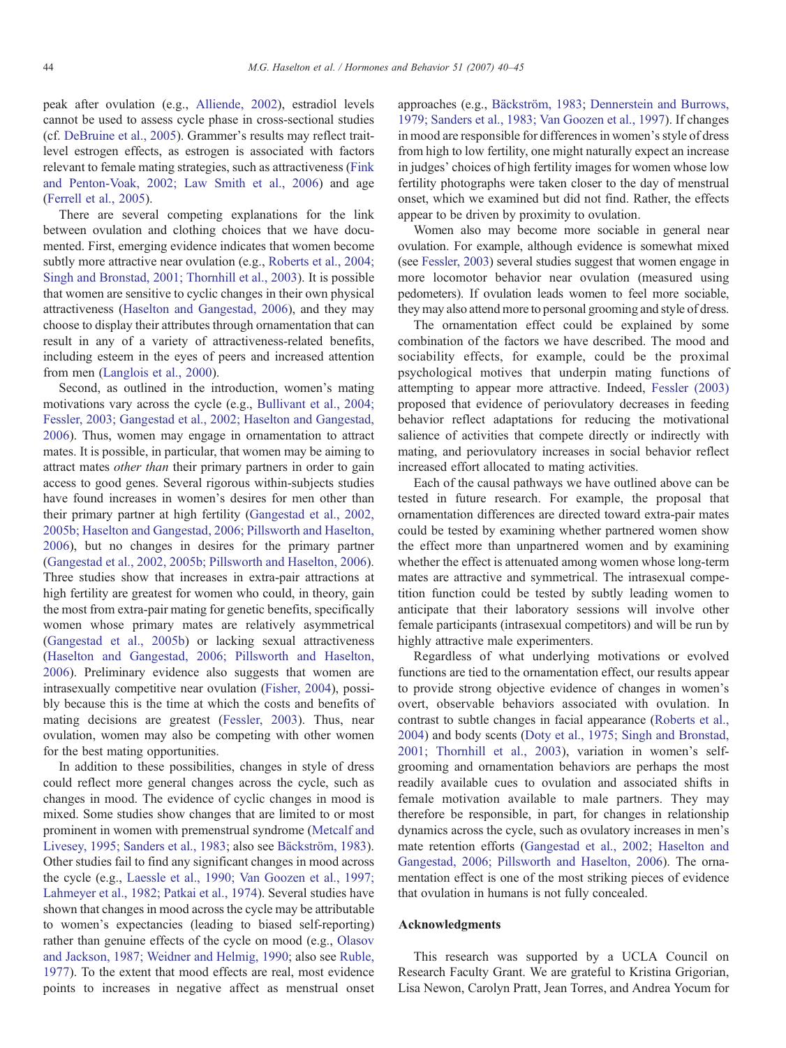peak after ovulation (e.g., [Alliende, 2002](#page-5-0)), estradiol levels cannot be used to assess cycle phase in cross-sectional studies (cf. [DeBruine et al., 2005\)](#page-5-0). Grammer's results may reflect traitlevel estrogen effects, as estrogen is associated with factors relevant to female mating strategies, such as attractiveness ([Fink](#page-5-0) [and Penton-Voak, 2002; Law Smith et al., 2006\)](#page-5-0) and age ([Ferrell et al., 2005](#page-5-0)).

There are several competing explanations for the link between ovulation and clothing choices that we have documented. First, emerging evidence indicates that women become subtly more attractive near ovulation (e.g., [Roberts et al., 2004;](#page-5-0) [Singh and Bronstad, 2001; Thornhill et al., 2003](#page-5-0)). It is possible that women are sensitive to cyclic changes in their own physical attractiveness [\(Haselton and Gangestad, 2006](#page-5-0)), and they may choose to display their attributes through ornamentation that can result in any of a variety of attractiveness-related benefits, including esteem in the eyes of peers and increased attention from men [\(Langlois et al., 2000\)](#page-5-0).

Second, as outlined in the introduction, women's mating motivations vary across the cycle (e.g., [Bullivant et al., 2004;](#page-5-0) [Fessler, 2003; Gangestad et al., 2002; Haselton and Gangestad,](#page-5-0) [2006\)](#page-5-0). Thus, women may engage in ornamentation to attract mates. It is possible, in particular, that women may be aiming to attract mates other than their primary partners in order to gain access to good genes. Several rigorous within-subjects studies have found increases in women's desires for men other than their primary partner at high fertility [\(Gangestad et al., 2002,](#page-5-0) [2005b; Haselton and Gangestad, 2006; Pillsworth and Haselton,](#page-5-0) [2006\)](#page-5-0), but no changes in desires for the primary partner ([Gangestad et al., 2002, 2005b; Pillsworth and Haselton, 2006](#page-5-0)). Three studies show that increases in extra-pair attractions at high fertility are greatest for women who could, in theory, gain the most from extra-pair mating for genetic benefits, specifically women whose primary mates are relatively asymmetrical ([Gangestad et al., 2005b](#page-5-0)) or lacking sexual attractiveness ([Haselton and Gangestad, 2006; Pillsworth and Haselton,](#page-5-0) [2006\)](#page-5-0). Preliminary evidence also suggests that women are intrasexually competitive near ovulation [\(Fisher, 2004](#page-5-0)), possibly because this is the time at which the costs and benefits of mating decisions are greatest ([Fessler, 2003\)](#page-5-0). Thus, near ovulation, women may also be competing with other women for the best mating opportunities.

In addition to these possibilities, changes in style of dress could reflect more general changes across the cycle, such as changes in mood. The evidence of cyclic changes in mood is mixed. Some studies show changes that are limited to or most prominent in women with premenstrual syndrome [\(Metcalf and](#page-5-0) [Livesey, 1995; Sanders et al., 1983](#page-5-0); also see [Bäckström, 1983](#page-5-0)). Other studies fail to find any significant changes in mood across the cycle (e.g., [Laessle et al., 1990; Van Goozen et al., 1997;](#page-5-0) [Lahmeyer et al., 1982; Patkai et al., 1974](#page-5-0)). Several studies have shown that changes in mood across the cycle may be attributable to women's expectancies (leading to biased self-reporting) rather than genuine effects of the cycle on mood (e.g., [Olasov](#page-5-0) [and Jackson, 1987; Weidner and Helmig, 1990;](#page-5-0) also see [Ruble,](#page-5-0) [1977\)](#page-5-0). To the extent that mood effects are real, most evidence points to increases in negative affect as menstrual onset approaches (e.g., [Bäckström, 1983](#page-5-0); [Dennerstein and Burrows,](#page-5-0) [1979; Sanders et al., 1983; Van Goozen et al., 1997\)](#page-5-0). If changes in mood are responsible for differences in women's style of dress from high to low fertility, one might naturally expect an increase in judges' choices of high fertility images for women whose low fertility photographs were taken closer to the day of menstrual onset, which we examined but did not find. Rather, the effects appear to be driven by proximity to ovulation.

Women also may become more sociable in general near ovulation. For example, although evidence is somewhat mixed (see [Fessler, 2003\)](#page-5-0) several studies suggest that women engage in more locomotor behavior near ovulation (measured using pedometers). If ovulation leads women to feel more sociable, they may also attend more to personal grooming and style of dress.

The ornamentation effect could be explained by some combination of the factors we have described. The mood and sociability effects, for example, could be the proximal psychological motives that underpin mating functions of attempting to appear more attractive. Indeed, [Fessler \(2003\)](#page-5-0) proposed that evidence of periovulatory decreases in feeding behavior reflect adaptations for reducing the motivational salience of activities that compete directly or indirectly with mating, and periovulatory increases in social behavior reflect increased effort allocated to mating activities.

Each of the causal pathways we have outlined above can be tested in future research. For example, the proposal that ornamentation differences are directed toward extra-pair mates could be tested by examining whether partnered women show the effect more than unpartnered women and by examining whether the effect is attenuated among women whose long-term mates are attractive and symmetrical. The intrasexual competition function could be tested by subtly leading women to anticipate that their laboratory sessions will involve other female participants (intrasexual competitors) and will be run by highly attractive male experimenters.

Regardless of what underlying motivations or evolved functions are tied to the ornamentation effect, our results appear to provide strong objective evidence of changes in women's overt, observable behaviors associated with ovulation. In contrast to subtle changes in facial appearance [\(Roberts et al.,](#page-5-0) [2004\)](#page-5-0) and body scents [\(Doty et al., 1975; Singh and Bronstad,](#page-5-0) [2001; Thornhill et al., 2003\)](#page-5-0), variation in women's selfgrooming and ornamentation behaviors are perhaps the most readily available cues to ovulation and associated shifts in female motivation available to male partners. They may therefore be responsible, in part, for changes in relationship dynamics across the cycle, such as ovulatory increases in men's mate retention efforts ([Gangestad et al., 2002; Haselton and](#page-5-0) [Gangestad, 2006; Pillsworth and Haselton, 2006](#page-5-0)). The ornamentation effect is one of the most striking pieces of evidence that ovulation in humans is not fully concealed.

# Acknowledgments

This research was supported by a UCLA Council on Research Faculty Grant. We are grateful to Kristina Grigorian, Lisa Newon, Carolyn Pratt, Jean Torres, and Andrea Yocum for